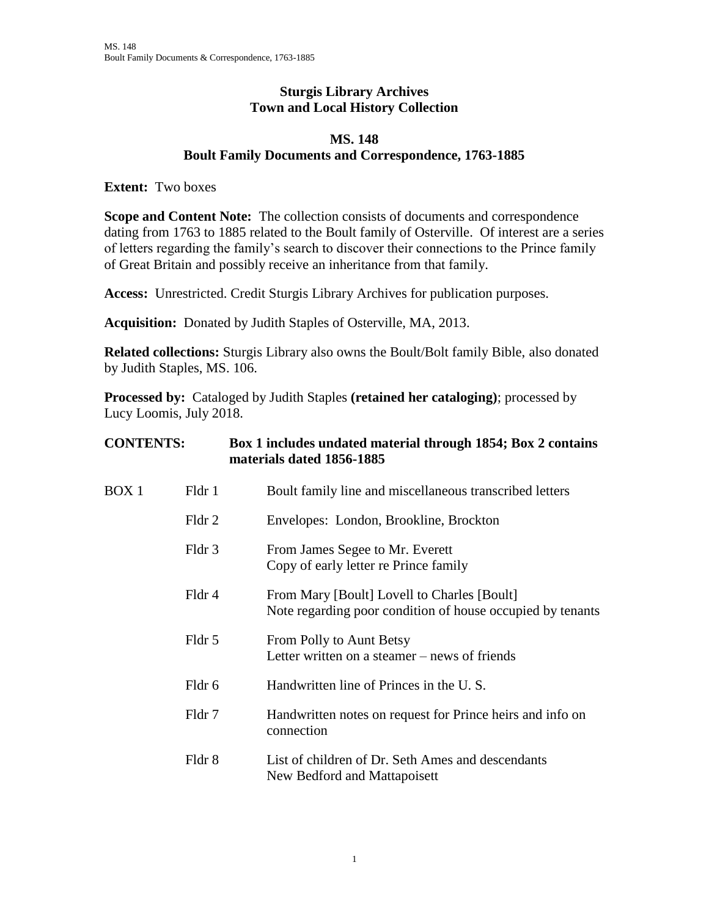## **Sturgis Library Archives Town and Local History Collection**

## **MS. 148 Boult Family Documents and Correspondence, 1763-1885**

**Extent:** Two boxes

**Scope and Content Note:** The collection consists of documents and correspondence dating from 1763 to 1885 related to the Boult family of Osterville. Of interest are a series of letters regarding the family's search to discover their connections to the Prince family of Great Britain and possibly receive an inheritance from that family.

**Access:** Unrestricted. Credit Sturgis Library Archives for publication purposes.

**Acquisition:** Donated by Judith Staples of Osterville, MA, 2013.

**Related collections:** Sturgis Library also owns the Boult/Bolt family Bible, also donated by Judith Staples, MS. 106.

**Processed by:** Cataloged by Judith Staples **(retained her cataloging)**; processed by Lucy Loomis, July 2018.

| <b>CONTENTS:</b> |        | Box 1 includes undated material through 1854; Box 2 contains<br>materials dated 1856-1885                 |  |
|------------------|--------|-----------------------------------------------------------------------------------------------------------|--|
| BOX 1            | Fldr 1 | Boult family line and miscellaneous transcribed letters                                                   |  |
|                  | Fldr 2 | Envelopes: London, Brookline, Brockton                                                                    |  |
|                  | Fldr 3 | From James Segee to Mr. Everett<br>Copy of early letter re Prince family                                  |  |
|                  | Fldr 4 | From Mary [Boult] Lovell to Charles [Boult]<br>Note regarding poor condition of house occupied by tenants |  |
|                  | Fldr 5 | From Polly to Aunt Betsy<br>Letter written on a steamer – news of friends                                 |  |
|                  | Fldr 6 | Handwritten line of Princes in the U.S.                                                                   |  |
|                  | Fldr 7 | Handwritten notes on request for Prince heirs and info on<br>connection                                   |  |
|                  | Fldr 8 | List of children of Dr. Seth Ames and descendants<br>New Bedford and Mattapoisett                         |  |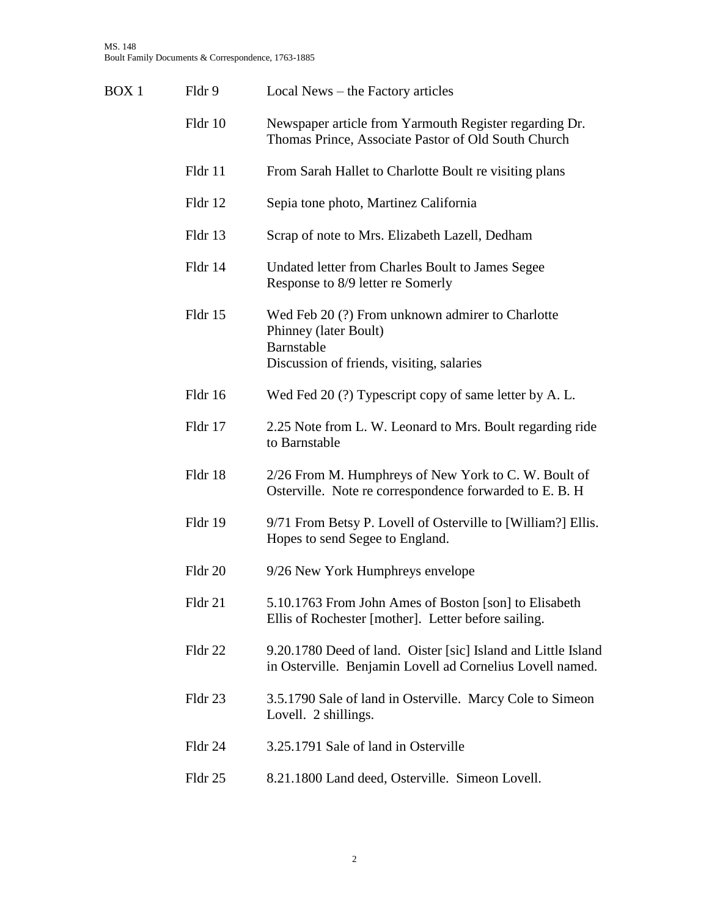| BOX <sub>1</sub> | Fldr 9  | Local News – the Factory articles                                                                                                    |
|------------------|---------|--------------------------------------------------------------------------------------------------------------------------------------|
|                  | Fldr 10 | Newspaper article from Yarmouth Register regarding Dr.<br>Thomas Prince, Associate Pastor of Old South Church                        |
|                  | Fldr 11 | From Sarah Hallet to Charlotte Boult re visiting plans                                                                               |
|                  | Fldr 12 | Sepia tone photo, Martinez California                                                                                                |
|                  | Fldr 13 | Scrap of note to Mrs. Elizabeth Lazell, Dedham                                                                                       |
|                  | Fldr 14 | Undated letter from Charles Boult to James Segee<br>Response to 8/9 letter re Somerly                                                |
|                  | Fldr 15 | Wed Feb 20 (?) From unknown admirer to Charlotte<br>Phinney (later Boult)<br>Barnstable<br>Discussion of friends, visiting, salaries |
|                  | Fldr 16 | Wed Fed 20 (?) Typescript copy of same letter by A. L.                                                                               |
|                  | Fldr 17 | 2.25 Note from L. W. Leonard to Mrs. Boult regarding ride<br>to Barnstable                                                           |
|                  | Fldr 18 | 2/26 From M. Humphreys of New York to C. W. Boult of<br>Osterville. Note re correspondence forwarded to E.B. H                       |
|                  | Fldr 19 | 9/71 From Betsy P. Lovell of Osterville to [William?] Ellis.<br>Hopes to send Segee to England.                                      |
|                  | Fldr 20 | 9/26 New York Humphreys envelope                                                                                                     |
|                  | Fldr 21 | 5.10.1763 From John Ames of Boston [son] to Elisabeth<br>Ellis of Rochester [mother]. Letter before sailing.                         |
|                  | Fldr 22 | 9.20.1780 Deed of land. Oister [sic] Island and Little Island<br>in Osterville. Benjamin Lovell ad Cornelius Lovell named.           |
|                  | Fldr 23 | 3.5.1790 Sale of land in Osterville. Marcy Cole to Simeon<br>Lovell. 2 shillings.                                                    |
|                  | Fldr 24 | 3.25.1791 Sale of land in Osterville                                                                                                 |
|                  | Fldr 25 | 8.21.1800 Land deed, Osterville. Simeon Lovell.                                                                                      |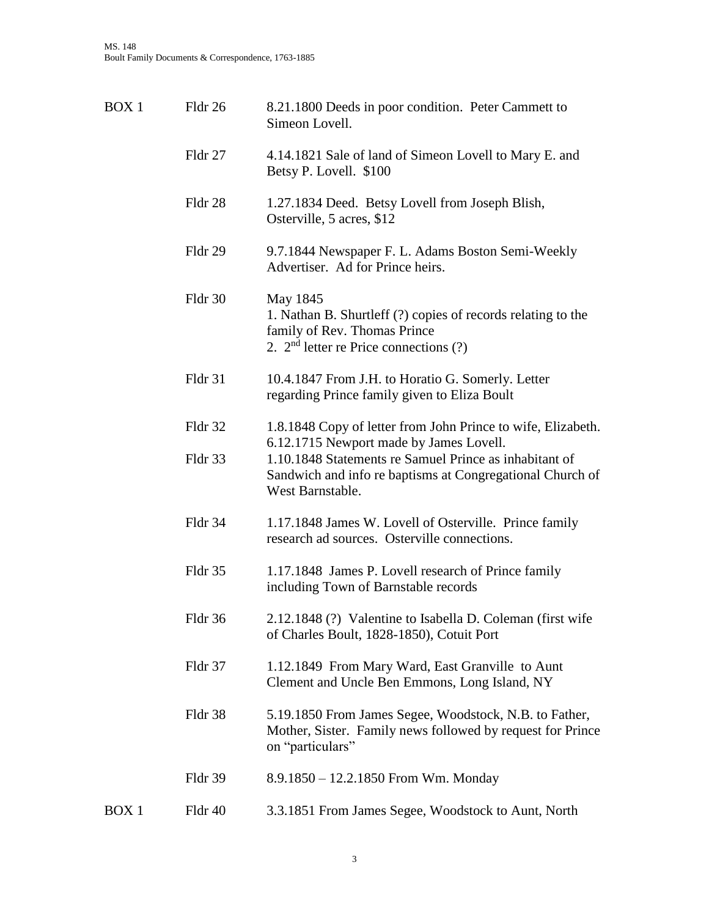| BOX <sub>1</sub> | Fldr 26 | 8.21.1800 Deeds in poor condition. Peter Cammett to<br>Simeon Lovell.                                                                                                              |
|------------------|---------|------------------------------------------------------------------------------------------------------------------------------------------------------------------------------------|
|                  | Fldr 27 | 4.14.1821 Sale of land of Simeon Lovell to Mary E. and<br>Betsy P. Lovell. \$100                                                                                                   |
|                  | Fldr 28 | 1.27.1834 Deed. Betsy Lovell from Joseph Blish,<br>Osterville, 5 acres, \$12                                                                                                       |
|                  | Fldr 29 | 9.7.1844 Newspaper F. L. Adams Boston Semi-Weekly<br>Advertiser. Ad for Prince heirs.                                                                                              |
|                  | Fldr 30 | May 1845<br>1. Nathan B. Shurtleff (?) copies of records relating to the<br>family of Rev. Thomas Prince<br>2. $2nd$ letter re Price connections (?)                               |
|                  | Fldr 31 | 10.4.1847 From J.H. to Horatio G. Somerly. Letter<br>regarding Prince family given to Eliza Boult                                                                                  |
|                  | Fldr 32 | 1.8.1848 Copy of letter from John Prince to wife, Elizabeth.                                                                                                                       |
|                  | Fldr 33 | 6.12.1715 Newport made by James Lovell.<br>1.10.1848 Statements re Samuel Prince as inhabitant of<br>Sandwich and info re baptisms at Congregational Church of<br>West Barnstable. |
|                  | Fldr 34 | 1.17.1848 James W. Lovell of Osterville. Prince family<br>research ad sources. Osterville connections.                                                                             |
|                  | Fldr 35 | 1.17.1848 James P. Lovell research of Prince family<br>including Town of Barnstable records                                                                                        |
|                  | Fldr 36 | 2.12.1848 (?) Valentine to Isabella D. Coleman (first wife<br>of Charles Boult, 1828-1850), Cotuit Port                                                                            |
|                  | Fldr 37 | 1.12.1849 From Mary Ward, East Granville to Aunt<br>Clement and Uncle Ben Emmons, Long Island, NY                                                                                  |
|                  | Fldr 38 | 5.19.1850 From James Segee, Woodstock, N.B. to Father,<br>Mother, Sister. Family news followed by request for Prince<br>on "particulars"                                           |
|                  | Fldr 39 | 8.9.1850 - 12.2.1850 From Wm. Monday                                                                                                                                               |
| BOX <sub>1</sub> | Fldr 40 | 3.3.1851 From James Segee, Woodstock to Aunt, North                                                                                                                                |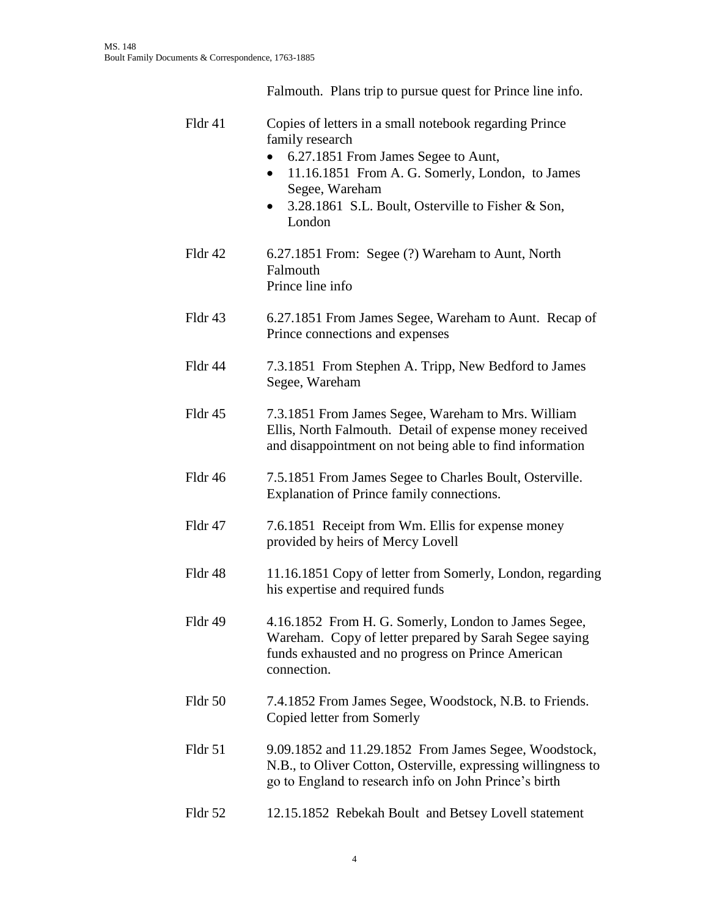|         | Falmouth. Plans trip to pursue quest for Prince line info.                                                                                                                                                                                                        |
|---------|-------------------------------------------------------------------------------------------------------------------------------------------------------------------------------------------------------------------------------------------------------------------|
| Fldr 41 | Copies of letters in a small notebook regarding Prince<br>family research<br>6.27.1851 From James Segee to Aunt,<br>11.16.1851 From A. G. Somerly, London, to James<br>$\bullet$<br>Segee, Wareham<br>3.28.1861 S.L. Boult, Osterville to Fisher & Son,<br>London |
| Fldr 42 | 6.27.1851 From: Segee (?) Wareham to Aunt, North<br>Falmouth<br>Prince line info                                                                                                                                                                                  |
| Fldr 43 | 6.27.1851 From James Segee, Wareham to Aunt. Recap of<br>Prince connections and expenses                                                                                                                                                                          |
| Fldr 44 | 7.3.1851 From Stephen A. Tripp, New Bedford to James<br>Segee, Wareham                                                                                                                                                                                            |
| Fldr 45 | 7.3.1851 From James Segee, Wareham to Mrs. William<br>Ellis, North Falmouth. Detail of expense money received<br>and disappointment on not being able to find information                                                                                         |
| Fldr 46 | 7.5.1851 From James Segee to Charles Boult, Osterville.<br>Explanation of Prince family connections.                                                                                                                                                              |
| Fldr 47 | 7.6.1851 Receipt from Wm. Ellis for expense money<br>provided by heirs of Mercy Lovell                                                                                                                                                                            |
| Fldr 48 | 11.16.1851 Copy of letter from Somerly, London, regarding<br>his expertise and required funds                                                                                                                                                                     |
| Fldr 49 | 4.16.1852 From H. G. Somerly, London to James Segee,<br>Wareham. Copy of letter prepared by Sarah Segee saying<br>funds exhausted and no progress on Prince American<br>connection.                                                                               |
| Fldr 50 | 7.4.1852 From James Segee, Woodstock, N.B. to Friends.<br>Copied letter from Somerly                                                                                                                                                                              |
| Fldr 51 | 9.09.1852 and 11.29.1852 From James Segee, Woodstock,<br>N.B., to Oliver Cotton, Osterville, expressing willingness to<br>go to England to research info on John Prince's birth                                                                                   |
| Fldr 52 | 12.15.1852 Rebekah Boult and Betsey Lovell statement                                                                                                                                                                                                              |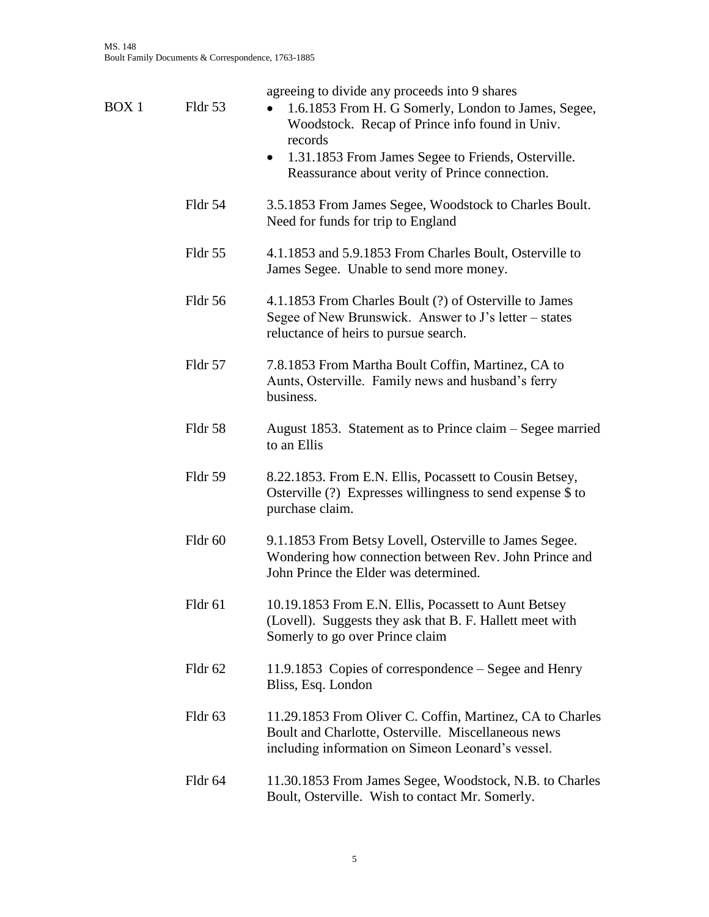| BOX 1 | Fldr 53 | agreeing to divide any proceeds into 9 shares<br>1.6.1853 From H. G Somerly, London to James, Segee,<br>Woodstock. Recap of Prince info found in Univ.<br>records<br>• 1.31.1853 From James Segee to Friends, Osterville.<br>Reassurance about verity of Prince connection. |
|-------|---------|-----------------------------------------------------------------------------------------------------------------------------------------------------------------------------------------------------------------------------------------------------------------------------|
|       | Fldr 54 | 3.5.1853 From James Segee, Woodstock to Charles Boult.<br>Need for funds for trip to England                                                                                                                                                                                |
|       | Fldr 55 | 4.1.1853 and 5.9.1853 From Charles Boult, Osterville to<br>James Segee. Unable to send more money.                                                                                                                                                                          |
|       | Fldr 56 | 4.1.1853 From Charles Boult (?) of Osterville to James<br>Segee of New Brunswick. Answer to J's letter – states<br>reluctance of heirs to pursue search.                                                                                                                    |
|       | Fldr 57 | 7.8.1853 From Martha Boult Coffin, Martinez, CA to<br>Aunts, Osterville. Family news and husband's ferry<br>business.                                                                                                                                                       |
|       | Fldr 58 | August 1853. Statement as to Prince claim – Segee married<br>to an Ellis                                                                                                                                                                                                    |
|       | Fldr 59 | 8.22.1853. From E.N. Ellis, Pocassett to Cousin Betsey,<br>Osterville $(?)$ Expresses willingness to send expense \$ to<br>purchase claim.                                                                                                                                  |
|       | Fldr 60 | 9.1.1853 From Betsy Lovell, Osterville to James Segee.<br>Wondering how connection between Rev. John Prince and<br>John Prince the Elder was determined.                                                                                                                    |
|       | Fldr 61 | 10.19.1853 From E.N. Ellis, Pocassett to Aunt Betsey<br>(Lovell). Suggests they ask that B. F. Hallett meet with<br>Somerly to go over Prince claim                                                                                                                         |
|       | Fldr 62 | 11.9.1853 Copies of correspondence – Segee and Henry<br>Bliss, Esq. London                                                                                                                                                                                                  |
|       | Fldr 63 | 11.29.1853 From Oliver C. Coffin, Martinez, CA to Charles<br>Boult and Charlotte, Osterville. Miscellaneous news<br>including information on Simeon Leonard's vessel.                                                                                                       |
|       | Fldr 64 | 11.30.1853 From James Segee, Woodstock, N.B. to Charles<br>Boult, Osterville. Wish to contact Mr. Somerly.                                                                                                                                                                  |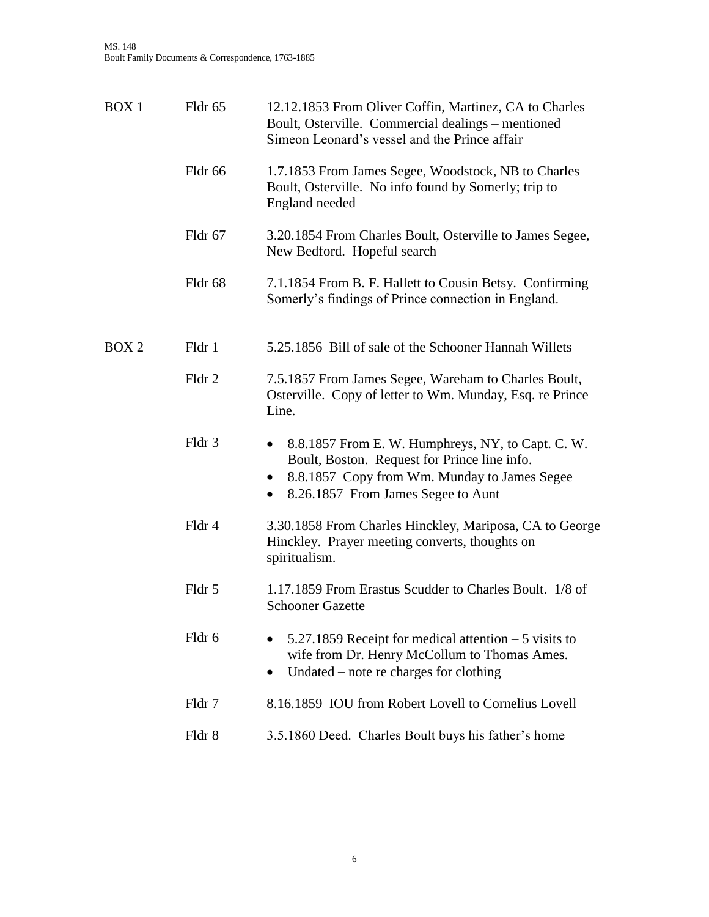| BOX <sub>1</sub> | Fldr 65 | 12.12.1853 From Oliver Coffin, Martinez, CA to Charles<br>Boult, Osterville. Commercial dealings – mentioned<br>Simeon Leonard's vessel and the Prince affair                                                     |
|------------------|---------|-------------------------------------------------------------------------------------------------------------------------------------------------------------------------------------------------------------------|
|                  | Fldr 66 | 1.7.1853 From James Segee, Woodstock, NB to Charles<br>Boult, Osterville. No info found by Somerly; trip to<br>England needed                                                                                     |
|                  | Fldr 67 | 3.20.1854 From Charles Boult, Osterville to James Segee,<br>New Bedford. Hopeful search                                                                                                                           |
|                  | Fldr 68 | 7.1.1854 From B. F. Hallett to Cousin Betsy. Confirming<br>Somerly's findings of Prince connection in England.                                                                                                    |
| BOX <sub>2</sub> | Fldr 1  | 5.25.1856 Bill of sale of the Schooner Hannah Willets                                                                                                                                                             |
|                  | Fldr 2  | 7.5.1857 From James Segee, Wareham to Charles Boult,<br>Osterville. Copy of letter to Wm. Munday, Esq. re Prince<br>Line.                                                                                         |
|                  | Fldr 3  | 8.8.1857 From E. W. Humphreys, NY, to Capt. C. W.<br>$\bullet$<br>Boult, Boston. Request for Prince line info.<br>8.8.1857 Copy from Wm. Munday to James Segee<br>8.26.1857 From James Segee to Aunt<br>$\bullet$ |
|                  | Fldr 4  | 3.30.1858 From Charles Hinckley, Mariposa, CA to George<br>Hinckley. Prayer meeting converts, thoughts on<br>spiritualism.                                                                                        |
|                  | Fldr 5  | 1.17.1859 From Erastus Scudder to Charles Boult. 1/8 of<br><b>Schooner Gazette</b>                                                                                                                                |
|                  | Fldr 6  | 5.27.1859 Receipt for medical attention $-5$ visits to<br>wife from Dr. Henry McCollum to Thomas Ames.<br>Undated – note re charges for clothing                                                                  |
|                  | Fldr 7  | 8.16.1859 IOU from Robert Lovell to Cornelius Lovell                                                                                                                                                              |
|                  | Fldr 8  | 3.5.1860 Deed. Charles Boult buys his father's home                                                                                                                                                               |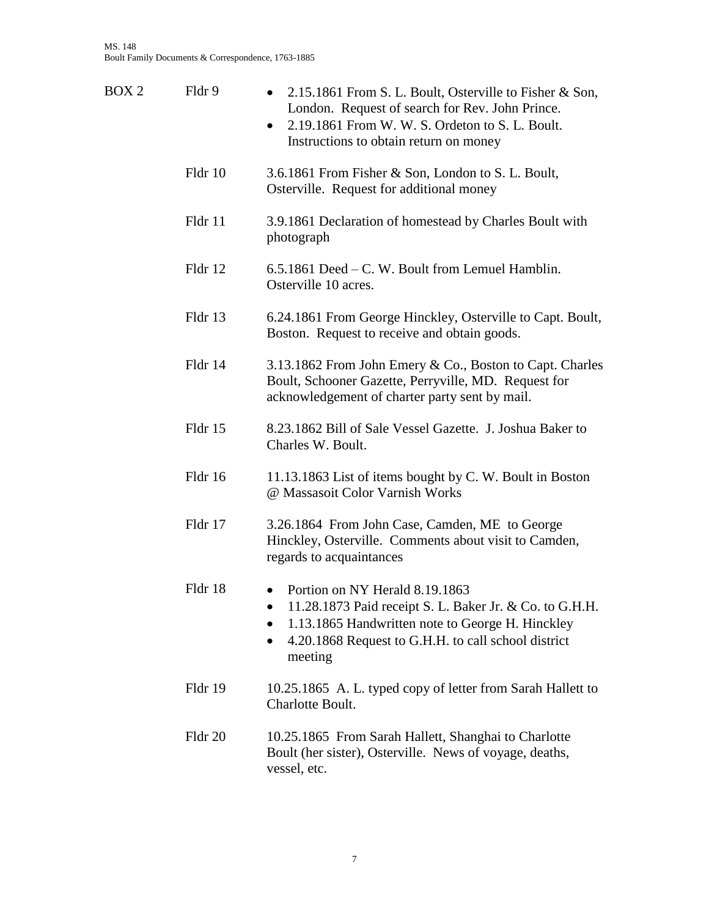| BOX <sub>2</sub> | Fldr 9  | 2.15.1861 From S. L. Boult, Osterville to Fisher & Son,<br>$\bullet$<br>London. Request of search for Rev. John Prince.<br>2.19.1861 From W. W. S. Ordeton to S. L. Boult.<br>$\bullet$<br>Instructions to obtain return on money |
|------------------|---------|-----------------------------------------------------------------------------------------------------------------------------------------------------------------------------------------------------------------------------------|
|                  | Fldr 10 | 3.6.1861 From Fisher & Son, London to S. L. Boult,<br>Osterville. Request for additional money                                                                                                                                    |
|                  | Fldr 11 | 3.9.1861 Declaration of homestead by Charles Boult with<br>photograph                                                                                                                                                             |
|                  | Fldr 12 | 6.5.1861 Deed – C. W. Boult from Lemuel Hamblin.<br>Osterville 10 acres.                                                                                                                                                          |
|                  | Fldr 13 | 6.24.1861 From George Hinckley, Osterville to Capt. Boult,<br>Boston. Request to receive and obtain goods.                                                                                                                        |
|                  | Fldr 14 | 3.13.1862 From John Emery & Co., Boston to Capt. Charles<br>Boult, Schooner Gazette, Perryville, MD. Request for<br>acknowledgement of charter party sent by mail.                                                                |
|                  | Fldr 15 | 8.23.1862 Bill of Sale Vessel Gazette. J. Joshua Baker to<br>Charles W. Boult.                                                                                                                                                    |
|                  | Fldr 16 | 11.13.1863 List of items bought by C. W. Boult in Boston<br>@ Massasoit Color Varnish Works                                                                                                                                       |
|                  | Fldr 17 | 3.26.1864 From John Case, Camden, ME to George<br>Hinckley, Osterville. Comments about visit to Camden,<br>regards to acquaintances                                                                                               |
|                  | Fldr 18 | Portion on NY Herald 8.19.1863<br>11.28.1873 Paid receipt S. L. Baker Jr. & Co. to G.H.H.<br>1.13.1865 Handwritten note to George H. Hinckley<br>4.20.1868 Request to G.H.H. to call school district<br>$\bullet$<br>meeting      |
|                  | Fldr 19 | 10.25.1865 A. L. typed copy of letter from Sarah Hallett to<br>Charlotte Boult.                                                                                                                                                   |
|                  | Fldr 20 | 10.25.1865 From Sarah Hallett, Shanghai to Charlotte<br>Boult (her sister), Osterville. News of voyage, deaths,<br>vessel, etc.                                                                                                   |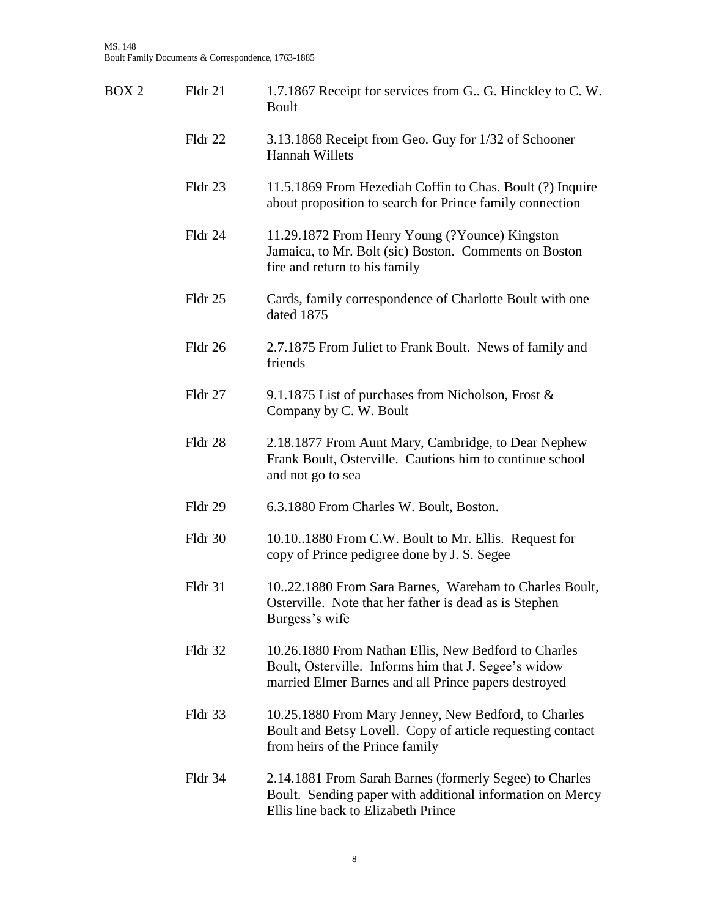| BOX 2 | Fldr 21 | 1.7.1867 Receipt for services from G. G. Hinckley to C. W.<br>Boult                                                                                                  |
|-------|---------|----------------------------------------------------------------------------------------------------------------------------------------------------------------------|
|       | Fldr 22 | 3.13.1868 Receipt from Geo. Guy for 1/32 of Schooner<br><b>Hannah Willets</b>                                                                                        |
|       | Fldr 23 | 11.5.1869 From Hezediah Coffin to Chas. Boult (?) Inquire<br>about proposition to search for Prince family connection                                                |
|       | Fldr 24 | 11.29.1872 From Henry Young (?Younce) Kingston<br>Jamaica, to Mr. Bolt (sic) Boston. Comments on Boston<br>fire and return to his family                             |
|       | Fldr 25 | Cards, family correspondence of Charlotte Boult with one<br>dated 1875                                                                                               |
|       | Fldr 26 | 2.7.1875 From Juliet to Frank Boult. News of family and<br>friends                                                                                                   |
|       | Fldr 27 | 9.1.1875 List of purchases from Nicholson, Frost &<br>Company by C. W. Boult                                                                                         |
|       | Fldr 28 | 2.18.1877 From Aunt Mary, Cambridge, to Dear Nephew<br>Frank Boult, Osterville. Cautions him to continue school<br>and not go to sea                                 |
|       | Fldr 29 | 6.3.1880 From Charles W. Boult, Boston.                                                                                                                              |
|       | Fldr 30 | 10.10.1880 From C.W. Boult to Mr. Ellis. Request for<br>copy of Prince pedigree done by J. S. Segee                                                                  |
|       | Fldr 31 | 1022.1880 From Sara Barnes, Wareham to Charles Boult,<br>Osterville. Note that her father is dead as is Stephen<br>Burgess's wife                                    |
|       | Fldr 32 | 10.26.1880 From Nathan Ellis, New Bedford to Charles<br>Boult, Osterville. Informs him that J. Segee's widow<br>married Elmer Barnes and all Prince papers destroyed |
|       | Fldr 33 | 10.25.1880 From Mary Jenney, New Bedford, to Charles<br>Boult and Betsy Lovell. Copy of article requesting contact<br>from heirs of the Prince family                |
|       | Fldr 34 | 2.14.1881 From Sarah Barnes (formerly Segee) to Charles<br>Boult. Sending paper with additional information on Mercy<br>Ellis line back to Elizabeth Prince          |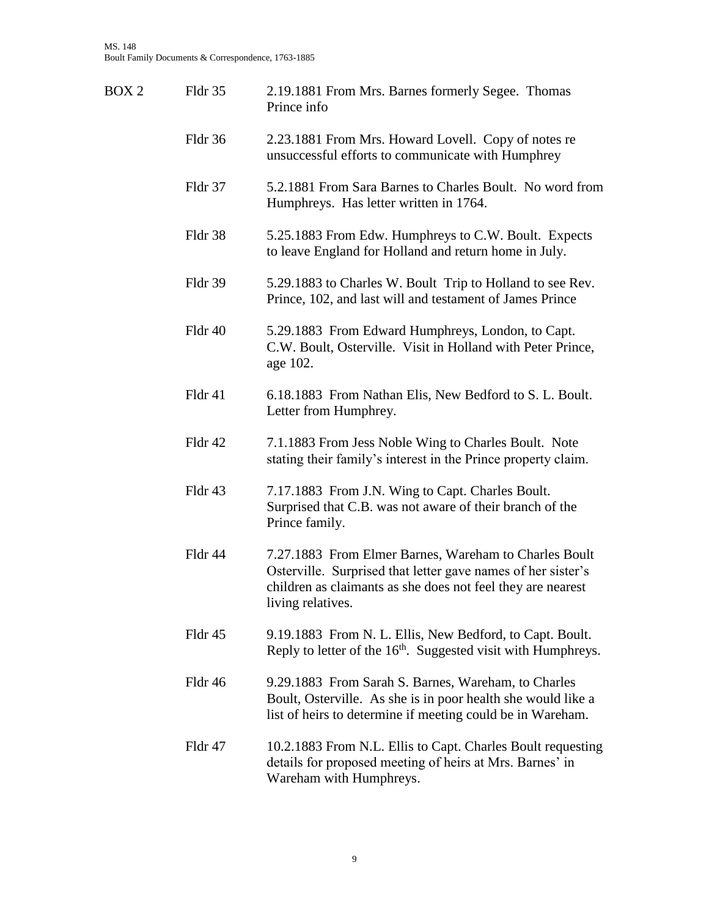| BOX 2 | Fldr 35 | 2.19.1881 From Mrs. Barnes formerly Segee. Thomas<br>Prince info                                                                                                                                          |
|-------|---------|-----------------------------------------------------------------------------------------------------------------------------------------------------------------------------------------------------------|
|       | Fldr 36 | 2.23.1881 From Mrs. Howard Lovell. Copy of notes re<br>unsuccessful efforts to communicate with Humphrey                                                                                                  |
|       | Fldr 37 | 5.2.1881 From Sara Barnes to Charles Boult. No word from<br>Humphreys. Has letter written in 1764.                                                                                                        |
|       | Fldr 38 | 5.25.1883 From Edw. Humphreys to C.W. Boult. Expects<br>to leave England for Holland and return home in July.                                                                                             |
|       | Fldr 39 | 5.29.1883 to Charles W. Boult Trip to Holland to see Rev.<br>Prince, 102, and last will and testament of James Prince                                                                                     |
|       | Fldr 40 | 5.29.1883 From Edward Humphreys, London, to Capt.<br>C.W. Boult, Osterville. Visit in Holland with Peter Prince,<br>age 102.                                                                              |
|       | Fldr 41 | 6.18.1883 From Nathan Elis, New Bedford to S. L. Boult.<br>Letter from Humphrey.                                                                                                                          |
|       | Fldr 42 | 7.1.1883 From Jess Noble Wing to Charles Boult. Note<br>stating their family's interest in the Prince property claim.                                                                                     |
|       | Fldr 43 | 7.17.1883 From J.N. Wing to Capt. Charles Boult.<br>Surprised that C.B. was not aware of their branch of the<br>Prince family.                                                                            |
|       | Fldr 44 | 7.27.1883 From Elmer Barnes, Wareham to Charles Boult<br>Osterville. Surprised that letter gave names of her sister's<br>children as claimants as she does not feel they are nearest<br>living relatives. |
|       | Fldr 45 | 9.19.1883 From N. L. Ellis, New Bedford, to Capt. Boult.<br>Reply to letter of the 16 <sup>th</sup> . Suggested visit with Humphreys.                                                                     |
|       | Fldr 46 | 9.29.1883 From Sarah S. Barnes, Wareham, to Charles<br>Boult, Osterville. As she is in poor health she would like a<br>list of heirs to determine if meeting could be in Wareham.                         |
|       | Fldr 47 | 10.2.1883 From N.L. Ellis to Capt. Charles Boult requesting<br>details for proposed meeting of heirs at Mrs. Barnes' in<br>Wareham with Humphreys.                                                        |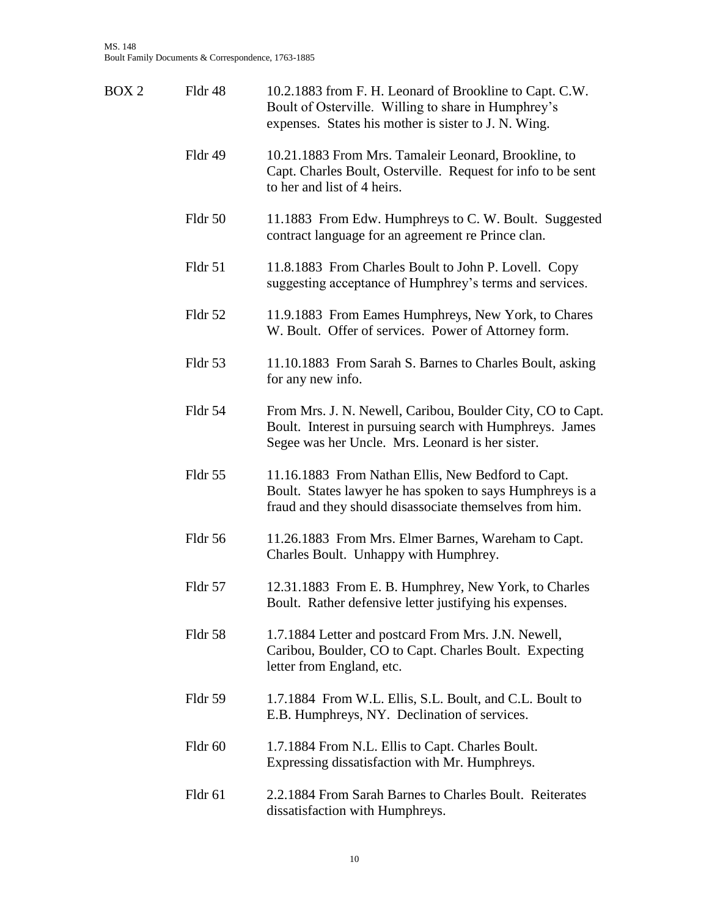| BOX 2 | Fldr 48 | 10.2.1883 from F. H. Leonard of Brookline to Capt. C.W.<br>Boult of Osterville. Willing to share in Humphrey's<br>expenses. States his mother is sister to J. N. Wing.     |
|-------|---------|----------------------------------------------------------------------------------------------------------------------------------------------------------------------------|
|       | Fldr 49 | 10.21.1883 From Mrs. Tamaleir Leonard, Brookline, to<br>Capt. Charles Boult, Osterville. Request for info to be sent<br>to her and list of 4 heirs.                        |
|       | Fldr 50 | 11.1883 From Edw. Humphreys to C. W. Boult. Suggested<br>contract language for an agreement re Prince clan.                                                                |
|       | Fldr 51 | 11.8.1883 From Charles Boult to John P. Lovell. Copy<br>suggesting acceptance of Humphrey's terms and services.                                                            |
|       | Fldr 52 | 11.9.1883 From Eames Humphreys, New York, to Chares<br>W. Boult. Offer of services. Power of Attorney form.                                                                |
|       | Fldr 53 | 11.10.1883 From Sarah S. Barnes to Charles Boult, asking<br>for any new info.                                                                                              |
|       | Fldr 54 | From Mrs. J. N. Newell, Caribou, Boulder City, CO to Capt.<br>Boult. Interest in pursuing search with Humphreys. James<br>Segee was her Uncle. Mrs. Leonard is her sister. |
|       | Fldr 55 | 11.16.1883 From Nathan Ellis, New Bedford to Capt.<br>Boult. States lawyer he has spoken to says Humphreys is a<br>fraud and they should disassociate themselves from him. |
|       | Fldr 56 | 11.26.1883 From Mrs. Elmer Barnes, Wareham to Capt.<br>Charles Boult. Unhappy with Humphrey.                                                                               |
|       | Fldr 57 | 12.31.1883 From E. B. Humphrey, New York, to Charles<br>Boult. Rather defensive letter justifying his expenses.                                                            |
|       | Fldr 58 | 1.7.1884 Letter and postcard From Mrs. J.N. Newell,<br>Caribou, Boulder, CO to Capt. Charles Boult. Expecting<br>letter from England, etc.                                 |
|       | Fldr 59 | 1.7.1884 From W.L. Ellis, S.L. Boult, and C.L. Boult to<br>E.B. Humphreys, NY. Declination of services.                                                                    |
|       | Fldr 60 | 1.7.1884 From N.L. Ellis to Capt. Charles Boult.<br>Expressing dissatisfaction with Mr. Humphreys.                                                                         |
|       | Fldr 61 | 2.2.1884 From Sarah Barnes to Charles Boult. Reiterates<br>dissatisfaction with Humphreys.                                                                                 |